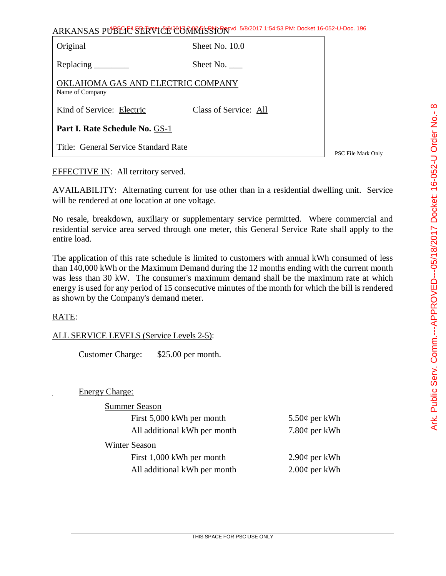| くこくしく<br>l                            |
|---------------------------------------|
|                                       |
|                                       |
|                                       |
|                                       |
| <b>CARS CONTROL CARS CONTROL</b><br>į |
|                                       |
|                                       |
|                                       |
|                                       |
|                                       |
|                                       |

| ARKANSAS PUBLICE SERVICE CONTRATSSION 5/8/2017 1:54:53 PM: Docket 16-052-U-Doc. 196 |  |
|-------------------------------------------------------------------------------------|--|
|-------------------------------------------------------------------------------------|--|

| Original                                             | Sheet No. 10.0        |  |  |
|------------------------------------------------------|-----------------------|--|--|
| Replacing                                            | Sheet No.             |  |  |
| OKLAHOMA GAS AND ELECTRIC COMPANY<br>Name of Company |                       |  |  |
| Kind of Service: Electric                            | Class of Service: All |  |  |
| Part I. Rate Schedule No. GS-1                       |                       |  |  |
| Title: General Service Standard Rate                 |                       |  |  |

PSC File Mark Only

EFFECTIVE IN: All territory served.

AVAILABILITY: Alternating current for use other than in a residential dwelling unit. Service will be rendered at one location at one voltage.

No resale, breakdown, auxiliary or supplementary service permitted. Where commercial and residential service area served through one meter, this General Service Rate shall apply to the entire load.

The application of this rate schedule is limited to customers with annual kWh consumed of less than 140,000 kWh or the Maximum Demand during the 12 months ending with the current month was less than 30 kW. The consumer's maximum demand shall be the maximum rate at which energy is used for any period of 15 consecutive minutes of the month for which the bill is rendered as shown by the Company's demand meter.

## RATE:

## ALL SERVICE LEVELS (Service Levels 2-5):

Customer Charge: \$25.00 per month.

Energy Charge:

| <b>Summer Season</b>         |                     |
|------------------------------|---------------------|
| First 5,000 kWh per month    | $5.50¢$ per kWh     |
| All additional kWh per month | 7.80 $\phi$ per kWh |
| Winter Season                |                     |
| First 1,000 kWh per month    | $2.90¢$ per kWh     |
| All additional kWh per month | $2.00\phi$ per kWh  |